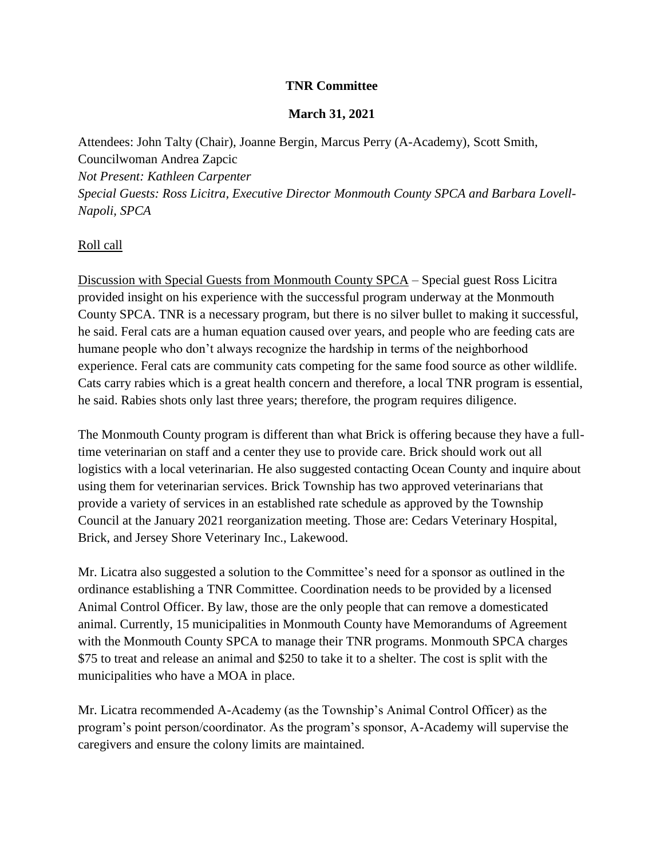## **TNR Committee**

## **March 31, 2021**

Attendees: John Talty (Chair), Joanne Bergin, Marcus Perry (A-Academy), Scott Smith, Councilwoman Andrea Zapcic *Not Present: Kathleen Carpenter Special Guests: Ross Licitra, Executive Director Monmouth County SPCA and Barbara Lovell-Napoli, SPCA*

## Roll call

Discussion with Special Guests from Monmouth County SPCA – Special guest Ross Licitra provided insight on his experience with the successful program underway at the Monmouth County SPCA. TNR is a necessary program, but there is no silver bullet to making it successful, he said. Feral cats are a human equation caused over years, and people who are feeding cats are humane people who don't always recognize the hardship in terms of the neighborhood experience. Feral cats are community cats competing for the same food source as other wildlife. Cats carry rabies which is a great health concern and therefore, a local TNR program is essential, he said. Rabies shots only last three years; therefore, the program requires diligence.

The Monmouth County program is different than what Brick is offering because they have a fulltime veterinarian on staff and a center they use to provide care. Brick should work out all logistics with a local veterinarian. He also suggested contacting Ocean County and inquire about using them for veterinarian services. Brick Township has two approved veterinarians that provide a variety of services in an established rate schedule as approved by the Township Council at the January 2021 reorganization meeting. Those are: Cedars Veterinary Hospital, Brick, and Jersey Shore Veterinary Inc., Lakewood.

Mr. Licatra also suggested a solution to the Committee's need for a sponsor as outlined in the ordinance establishing a TNR Committee. Coordination needs to be provided by a licensed Animal Control Officer. By law, those are the only people that can remove a domesticated animal. Currently, 15 municipalities in Monmouth County have Memorandums of Agreement with the Monmouth County SPCA to manage their TNR programs. Monmouth SPCA charges \$75 to treat and release an animal and \$250 to take it to a shelter. The cost is split with the municipalities who have a MOA in place.

Mr. Licatra recommended A-Academy (as the Township's Animal Control Officer) as the program's point person/coordinator. As the program's sponsor, A-Academy will supervise the caregivers and ensure the colony limits are maintained.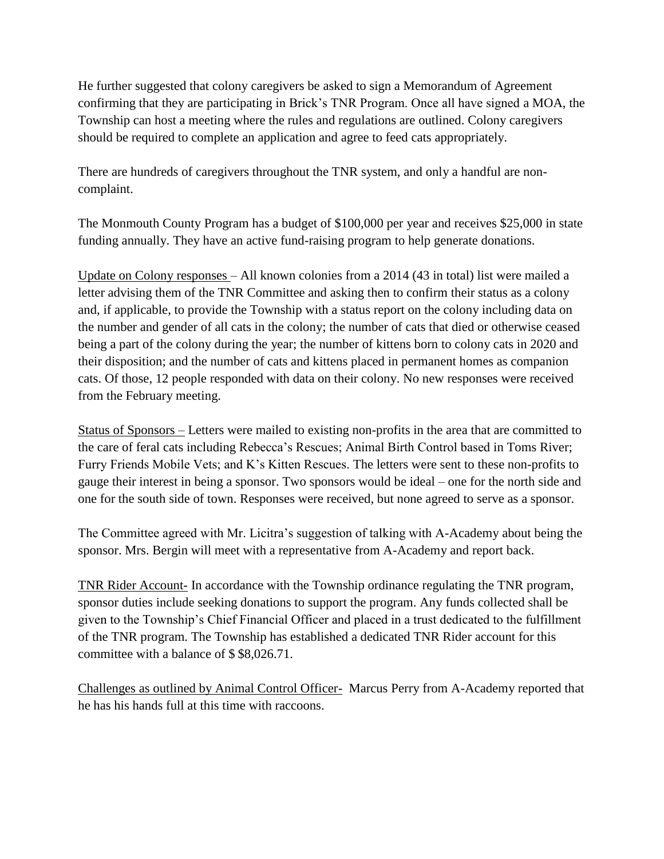He further suggested that colony caregivers be asked to sign a Memorandum of Agreement confirming that they are participating in Brick's TNR Program. Once all have signed a MOA, the Township can host a meeting where the rules and regulations are outlined. Colony caregivers should be required to complete an application and agree to feed cats appropriately.

There are hundreds of caregivers throughout the TNR system, and only a handful are noncomplaint.

The Monmouth County Program has a budget of \$100,000 per year and receives \$25,000 in state funding annually. They have an active fund-raising program to help generate donations.

Update on Colony responses – All known colonies from a 2014 (43 in total) list were mailed a letter advising them of the TNR Committee and asking then to confirm their status as a colony and, if applicable, to provide the Township with a status report on the colony including data on the number and gender of all cats in the colony; the number of cats that died or otherwise ceased being a part of the colony during the year; the number of kittens born to colony cats in 2020 and their disposition; and the number of cats and kittens placed in permanent homes as companion cats. Of those, 12 people responded with data on their colony. No new responses were received from the February meeting.

Status of Sponsors – Letters were mailed to existing non-profits in the area that are committed to the care of feral cats including Rebecca's Rescues; Animal Birth Control based in Toms River; Furry Friends Mobile Vets; and K's Kitten Rescues. The letters were sent to these non-profits to gauge their interest in being a sponsor. Two sponsors would be ideal – one for the north side and one for the south side of town. Responses were received, but none agreed to serve as a sponsor.

The Committee agreed with Mr. Licitra's suggestion of talking with A-Academy about being the sponsor. Mrs. Bergin will meet with a representative from A-Academy and report back.

TNR Rider Account- In accordance with the Township ordinance regulating the TNR program, sponsor duties include seeking donations to support the program. Any funds collected shall be given to the Township's Chief Financial Officer and placed in a trust dedicated to the fulfillment of the TNR program. The Township has established a dedicated TNR Rider account for this committee with a balance of \$ \$8,026.71.

Challenges as outlined by Animal Control Officer- Marcus Perry from A-Academy reported that he has his hands full at this time with raccoons.